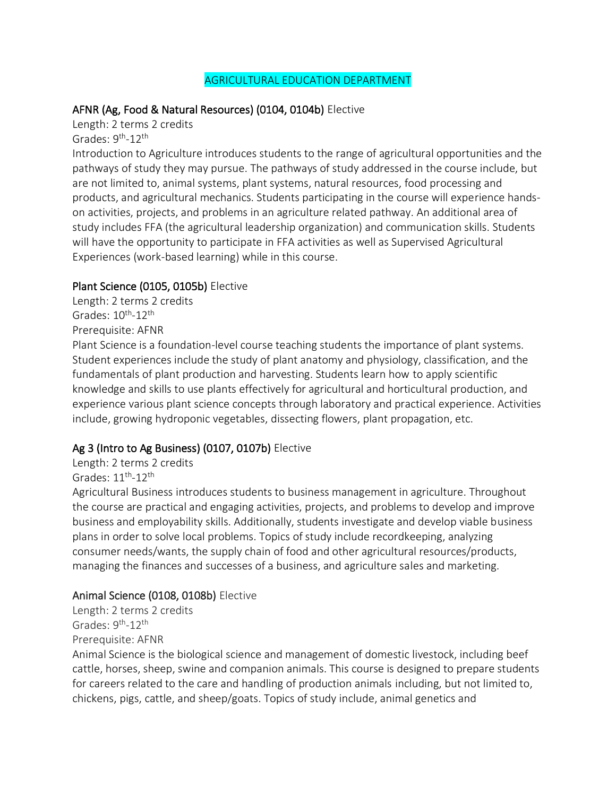#### AGRICULTURAL EDUCATION DEPARTMENT

#### AFNR (Ag, Food & Natural Resources) (0104, 0104b) Elective

Length: 2 terms 2 credits Grades: 9<sup>th</sup>-12<sup>th</sup>

Introduction to Agriculture introduces students to the range of agricultural opportunities and the pathways of study they may pursue. The pathways of study addressed in the course include, but are not limited to, animal systems, plant systems, natural resources, food processing and products, and agricultural mechanics. Students participating in the course will experience handson activities, projects, and problems in an agriculture related pathway. An additional area of study includes FFA (the agricultural leadership organization) and communication skills. Students will have the opportunity to participate in FFA activities as well as Supervised Agricultural Experiences (work-based learning) while in this course.

#### Plant Science (0105, 0105b) Elective

Length: 2 terms 2 credits Grades: 10<sup>th</sup>-12<sup>th</sup> Prerequisite: AFNR

Plant Science is a foundation-level course teaching students the importance of plant systems. Student experiences include the study of plant anatomy and physiology, classification, and the fundamentals of plant production and harvesting. Students learn how to apply scientific knowledge and skills to use plants effectively for agricultural and horticultural production, and experience various plant science concepts through laboratory and practical experience. Activities include, growing hydroponic vegetables, dissecting flowers, plant propagation, etc.

# Ag 3 (Intro to Ag Business) (0107, 0107b) Elective

Length: 2 terms 2 credits

Grades:  $11^{\text{th}}$ - $12^{\text{th}}$ 

Agricultural Business introduces students to business management in agriculture. Throughout the course are practical and engaging activities, projects, and problems to develop and improve business and employability skills. Additionally, students investigate and develop viable business plans in order to solve local problems. Topics of study include recordkeeping, analyzing consumer needs/wants, the supply chain of food and other agricultural resources/products, managing the finances and successes of a business, and agriculture sales and marketing.

# Animal Science (0108, 0108b) Elective

Length: 2 terms 2 credits Grades: 9<sup>th</sup>-12<sup>th</sup> Prerequisite: AFNR

Animal Science is the biological science and management of domestic livestock, including beef cattle, horses, sheep, swine and companion animals. This course is designed to prepare students for careers related to the care and handling of production animals including, but not limited to, chickens, pigs, cattle, and sheep/goats. Topics of study include, animal genetics and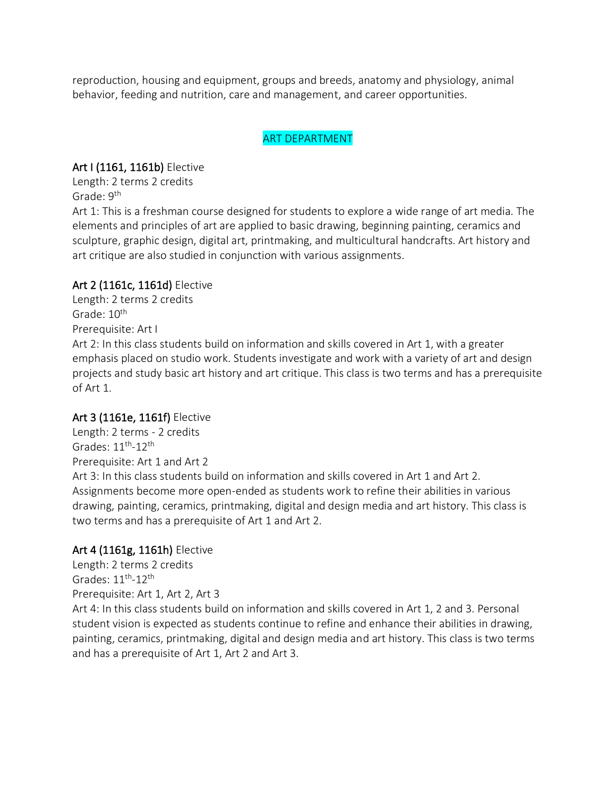reproduction, housing and equipment, groups and breeds, anatomy and physiology, animal behavior, feeding and nutrition, care and management, and career opportunities.

#### ART DEPARTMENT

### Art I (1161, 1161b) Elective

Length: 2 terms 2 credits Grade: 9th

Art 1: This is a freshman course designed for students to explore a wide range of art media. The elements and principles of art are applied to basic drawing, beginning painting, ceramics and sculpture, graphic design, digital art, printmaking, and multicultural handcrafts. Art history and art critique are also studied in conjunction with various assignments.

# Art 2 (1161c, 1161d) Elective

Length: 2 terms 2 credits Grade: 10<sup>th</sup> Prerequisite: Art I Art 2: In this class students build on information and skills covered in Art 1, with a greater emphasis placed on studio work. Students investigate and work with a variety of art and design projects and study basic art history and art critique. This class is two terms and has a prerequisite of Art 1.

# Art 3 (1161e, 1161f) Elective

Length: 2 terms - 2 credits Grades:  $11^{\text{th}}$ - $12^{\text{th}}$ Prerequisite: Art 1 and Art 2 Art 3: In this class students build on information and skills covered in Art 1 and Art 2. Assignments become more open-ended as students work to refine their abilities in various drawing, painting, ceramics, printmaking, digital and design media and art history. This class is two terms and has a prerequisite of Art 1 and Art 2.

# Art 4 (1161g, 1161h) Elective

Length: 2 terms 2 credits Grades:  $11^{\text{th}}$ - $12^{\text{th}}$ Prerequisite: Art 1, Art 2, Art 3

Art 4: In this class students build on information and skills covered in Art 1, 2 and 3. Personal student vision is expected as students continue to refine and enhance their abilities in drawing, painting, ceramics, printmaking, digital and design media and art history. This class is two terms and has a prerequisite of Art 1, Art 2 and Art 3.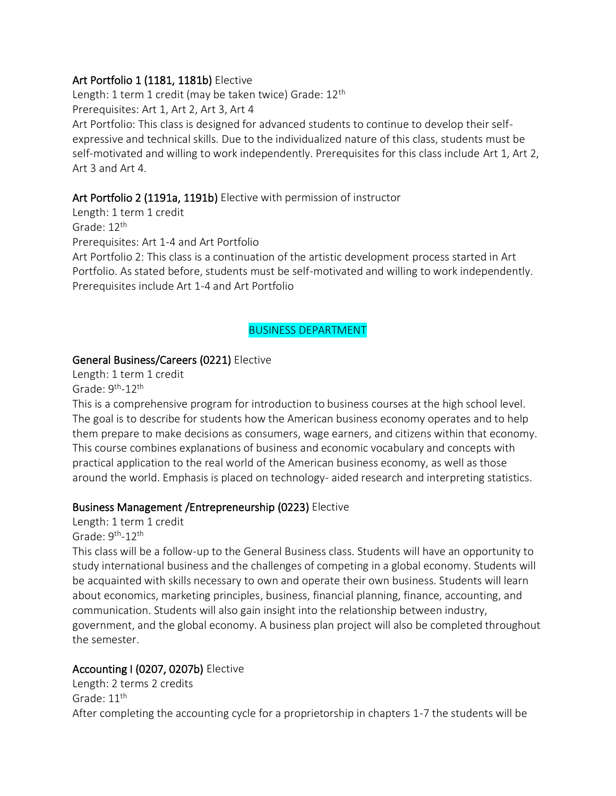#### Art Portfolio 1 (1181, 1181b) Elective

Length: 1 term 1 credit (may be taken twice) Grade: 12<sup>th</sup> Prerequisites: Art 1, Art 2, Art 3, Art 4 Art Portfolio: This class is designed for advanced students to continue to develop their selfexpressive and technical skills. Due to the individualized nature of this class, students must be self-motivated and willing to work independently. Prerequisites for this class include Art 1, Art 2, Art 3 and Art 4.

# Art Portfolio 2 (1191a, 1191b) Elective with permission of instructor

Length: 1 term 1 credit Grade: 12<sup>th</sup> Prerequisites: Art 1-4 and Art Portfolio Art Portfolio 2: This class is a continuation of the artistic development process started in Art Portfolio. As stated before, students must be self-motivated and willing to work independently. Prerequisites include Art 1-4 and Art Portfolio

### BUSINESS DEPARTMENT

# General Business/Careers (0221) Elective

Length: 1 term 1 credit Grade: 9<sup>th</sup>-12<sup>th</sup>

This is a comprehensive program for introduction to business courses at the high school level. The goal is to describe for students how the American business economy operates and to help them prepare to make decisions as consumers, wage earners, and citizens within that economy. This course combines explanations of business and economic vocabulary and concepts with practical application to the real world of the American business economy, as well as those around the world. Emphasis is placed on technology- aided research and interpreting statistics.

#### Business Management /Entrepreneurship (0223) Elective

Length: 1 term 1 credit

Grade: 9<sup>th</sup>-12<sup>th</sup>

This class will be a follow-up to the General Business class. Students will have an opportunity to study international business and the challenges of competing in a global economy. Students will be acquainted with skills necessary to own and operate their own business. Students will learn about economics, marketing principles, business, financial planning, finance, accounting, and communication. Students will also gain insight into the relationship between industry, government, and the global economy. A business plan project will also be completed throughout the semester.

# Accounting I (0207, 0207b) Elective

Length: 2 terms 2 credits Grade: 11<sup>th</sup> After completing the accounting cycle for a proprietorship in chapters 1-7 the students will be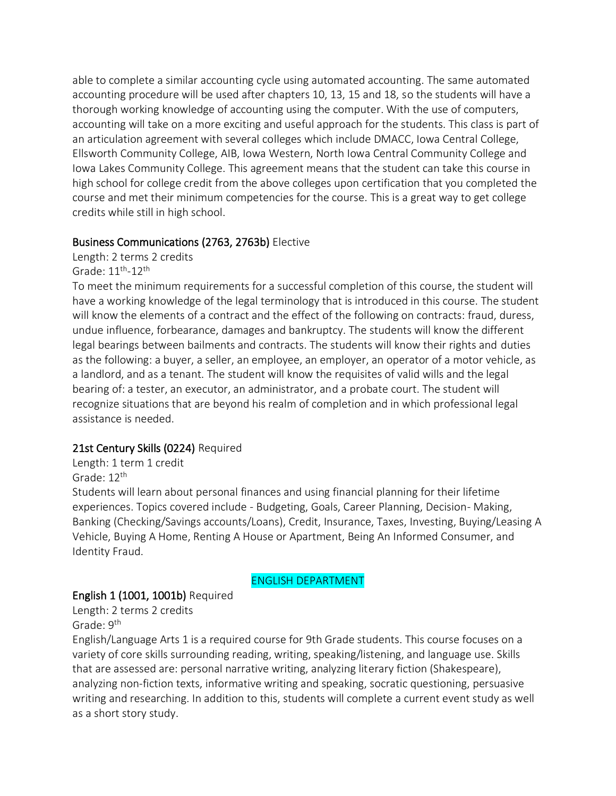able to complete a similar accounting cycle using automated accounting. The same automated accounting procedure will be used after chapters 10, 13, 15 and 18, so the students will have a thorough working knowledge of accounting using the computer. With the use of computers, accounting will take on a more exciting and useful approach for the students. This class is part of an articulation agreement with several colleges which include DMACC, Iowa Central College, Ellsworth Community College, AIB, Iowa Western, North Iowa Central Community College and Iowa Lakes Community College. This agreement means that the student can take this course in high school for college credit from the above colleges upon certification that you completed the course and met their minimum competencies for the course. This is a great way to get college credits while still in high school.

#### Business Communications (2763, 2763b) Elective

Length: 2 terms 2 credits Grade: 11<sup>th</sup>-12<sup>th</sup>

To meet the minimum requirements for a successful completion of this course, the student will have a working knowledge of the legal terminology that is introduced in this course. The student will know the elements of a contract and the effect of the following on contracts: fraud, duress, undue influence, forbearance, damages and bankruptcy. The students will know the different legal bearings between bailments and contracts. The students will know their rights and duties as the following: a buyer, a seller, an employee, an employer, an operator of a motor vehicle, as a landlord, and as a tenant. The student will know the requisites of valid wills and the legal bearing of: a tester, an executor, an administrator, and a probate court. The student will recognize situations that are beyond his realm of completion and in which professional legal assistance is needed.

#### 21st Century Skills (0224) Required

Length: 1 term 1 credit Grade: 12th

Students will learn about personal finances and using financial planning for their lifetime experiences. Topics covered include - Budgeting, Goals, Career Planning, Decision- Making, Banking (Checking/Savings accounts/Loans), Credit, Insurance, Taxes, Investing, Buying/Leasing A Vehicle, Buying A Home, Renting A House or Apartment, Being An Informed Consumer, and Identity Fraud.

#### ENGLISH DEPARTMENT

#### English 1 (1001, 1001b) Required

Length: 2 terms 2 credits Grade: 9<sup>th</sup>

English/Language Arts 1 is a required course for 9th Grade students. This course focuses on a variety of core skills surrounding reading, writing, speaking/listening, and language use. Skills that are assessed are: personal narrative writing, analyzing literary fiction (Shakespeare), analyzing non-fiction texts, informative writing and speaking, socratic questioning, persuasive writing and researching. In addition to this, students will complete a current event study as well as a short story study.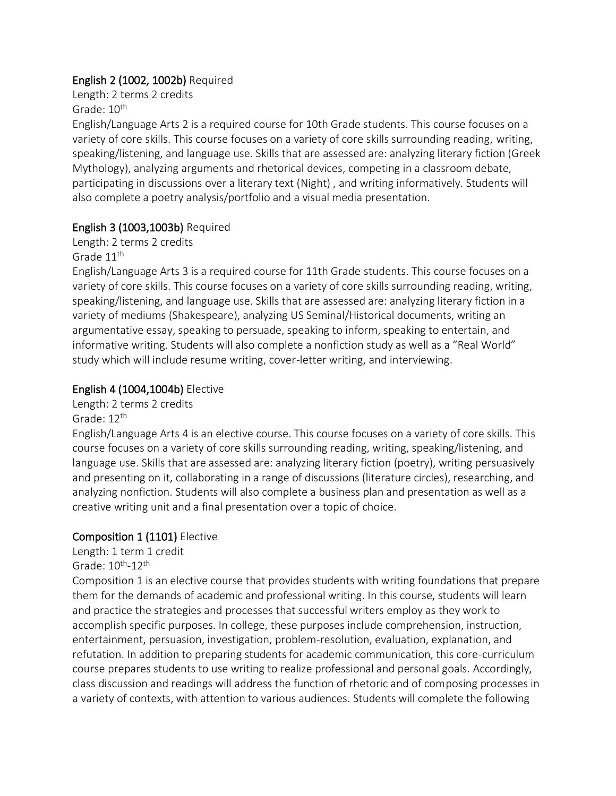### English 2 (1002, 1002b) Required

Length: 2 terms 2 credits Grade:  $10^{th}$ 

English/Language Arts 2 is a required course for 10th Grade students. This course focuses on a variety of core skills. This course focuses on a variety of core skills surrounding reading, writing, speaking/listening, and language use. Skills that are assessed are: analyzing literary fiction (Greek Mythology), analyzing arguments and rhetorical devices, competing in a classroom debate, participating in discussions over a literary text (Night) , and writing informatively. Students will also complete a poetry analysis/portfolio and a visual media presentation.

# English 3 (1003,1003b) Required

Length: 2 terms 2 credits Grade 11<sup>th</sup>

English/Language Arts 3 is a required course for 11th Grade students. This course focuses on a variety of core skills. This course focuses on a variety of core skills surrounding reading, writing, speaking/listening, and language use. Skills that are assessed are: analyzing literary fiction in a variety of mediums (Shakespeare), analyzing US Seminal/Historical documents, writing an argumentative essay, speaking to persuade, speaking to inform, speaking to entertain, and informative writing. Students will also complete a nonfiction study as well as a "Real World" study which will include resume writing, cover-letter writing, and interviewing.

### English 4 (1004,1004b) Elective

Length: 2 terms 2 credits

Grade: 12<sup>th</sup>

English/Language Arts 4 is an elective course. This course focuses on a variety of core skills. This course focuses on a variety of core skills surrounding reading, writing, speaking/listening, and language use. Skills that are assessed are: analyzing literary fiction (poetry), writing persuasively and presenting on it, collaborating in a range of discussions (literature circles), researching, and analyzing nonfiction. Students will also complete a business plan and presentation as well as a creative writing unit and a final presentation over a topic of choice.

# Composition 1 (1101) Elective

Length: 1 term 1 credit

Grade: 10<sup>th</sup>-12<sup>th</sup>

Composition 1 is an elective course that provides students with writing foundations that prepare them for the demands of academic and professional writing. In this course, students will learn and practice the strategies and processes that successful writers employ as they work to accomplish specific purposes. In college, these purposes include comprehension, instruction, entertainment, persuasion, investigation, problem-resolution, evaluation, explanation, and refutation. In addition to preparing students for academic communication, this core-curriculum course prepares students to use writing to realize professional and personal goals. Accordingly, class discussion and readings will address the function of rhetoric and of composing processes in a variety of contexts, with attention to various audiences. Students will complete the following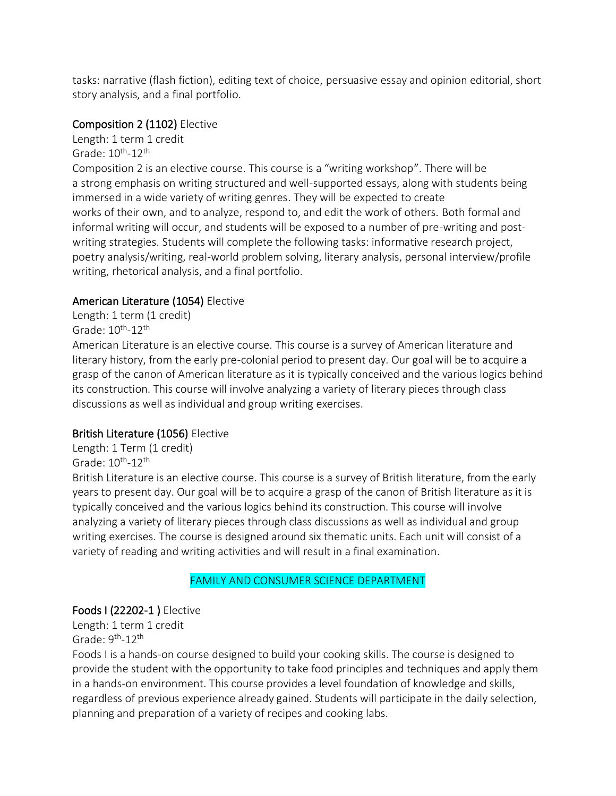tasks: narrative (flash fiction), editing text of choice, persuasive essay and opinion editorial, short story analysis, and a final portfolio.

# Composition 2 (1102) Elective

Length: 1 term 1 credit Grade: 10<sup>th</sup>-12<sup>th</sup> Composition 2 is an elective course. This course is a "writing workshop". There will be a strong emphasis on writing structured and well-supported essays, along with students being immersed in a wide variety of writing genres. They will be expected to create works of their own, and to analyze, respond to, and edit the work of others. Both formal and informal writing will occur, and students will be exposed to a number of pre-writing and postwriting strategies. Students will complete the following tasks: informative research project, poetry analysis/writing, real-world problem solving, literary analysis, personal interview/profile writing, rhetorical analysis, and a final portfolio.

# American Literature (1054) Elective

Length: 1 term (1 credit) Grade: 10<sup>th</sup>-12<sup>th</sup>

American Literature is an elective course. This course is a survey of American literature and literary history, from the early pre-colonial period to present day. Our goal will be to acquire a grasp of the canon of American literature as it is typically conceived and the various logics behind its construction. This course will involve analyzing a variety of literary pieces through class discussions as well as individual and group writing exercises.

# British Literature (1056) Elective

Length: 1 Term (1 credit) Grade: 10<sup>th</sup>-12<sup>th</sup>

British Literature is an elective course. This course is a survey of British literature, from the early years to present day. Our goal will be to acquire a grasp of the canon of British literature as it is typically conceived and the various logics behind its construction. This course will involve analyzing a variety of literary pieces through class discussions as well as individual and group writing exercises. The course is designed around six thematic units. Each unit will consist of a variety of reading and writing activities and will result in a final examination.

# FAMILY AND CONSUMER SCIENCE DEPARTMENT

# Foods I (22202-1 ) Elective

Length: 1 term 1 credit Grade: 9<sup>th</sup>-12<sup>th</sup>

Foods I is a hands-on course designed to build your cooking skills. The course is designed to provide the student with the opportunity to take food principles and techniques and apply them in a hands-on environment. This course provides a level foundation of knowledge and skills, regardless of previous experience already gained. Students will participate in the daily selection, planning and preparation of a variety of recipes and cooking labs.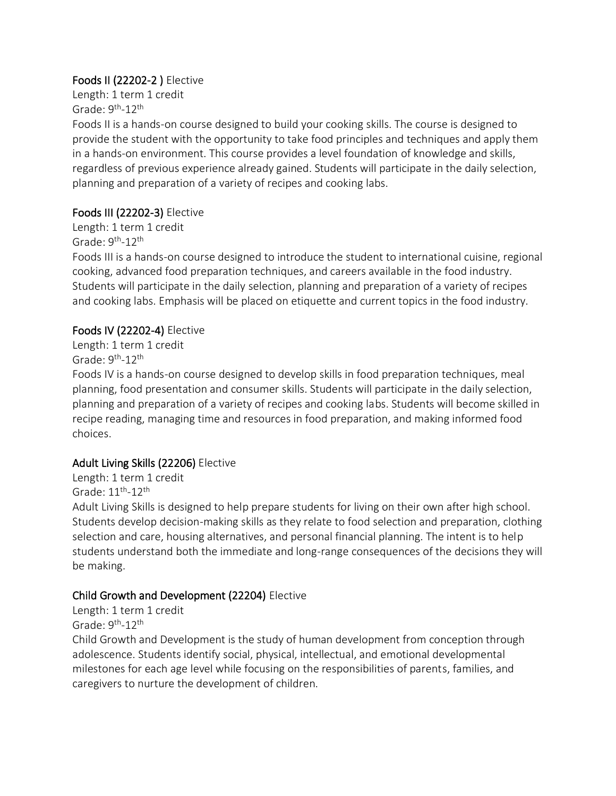# Foods II (22202-2 ) Elective

Length: 1 term 1 credit Grade: 9<sup>th</sup>-12<sup>th</sup>

Foods II is a hands-on course designed to build your cooking skills. The course is designed to provide the student with the opportunity to take food principles and techniques and apply them in a hands-on environment. This course provides a level foundation of knowledge and skills, regardless of previous experience already gained. Students will participate in the daily selection, planning and preparation of a variety of recipes and cooking labs.

# Foods III (22202-3) Elective

Length: 1 term 1 credit Grade: 9<sup>th</sup>-12<sup>th</sup>

Foods III is a hands-on course designed to introduce the student to international cuisine, regional cooking, advanced food preparation techniques, and careers available in the food industry. Students will participate in the daily selection, planning and preparation of a variety of recipes and cooking labs. Emphasis will be placed on etiquette and current topics in the food industry.

# Foods IV (22202-4) Elective

Length: 1 term 1 credit Grade: 9<sup>th</sup>-12<sup>th</sup>

Foods IV is a hands-on course designed to develop skills in food preparation techniques, meal planning, food presentation and consumer skills. Students will participate in the daily selection, planning and preparation of a variety of recipes and cooking labs. Students will become skilled in recipe reading, managing time and resources in food preparation, and making informed food choices.

# Adult Living Skills (22206) Elective

Length: 1 term 1 credit Grade: 11<sup>th</sup>-12<sup>th</sup>

Adult Living Skills is designed to help prepare students for living on their own after high school. Students develop decision-making skills as they relate to food selection and preparation, clothing selection and care, housing alternatives, and personal financial planning. The intent is to help students understand both the immediate and long-range consequences of the decisions they will be making.

# Child Growth and Development (22204) Elective

Length: 1 term 1 credit Grade: 9<sup>th</sup>-12<sup>th</sup>

Child Growth and Development is the study of human development from conception through adolescence. Students identify social, physical, intellectual, and emotional developmental milestones for each age level while focusing on the responsibilities of parents, families, and caregivers to nurture the development of children.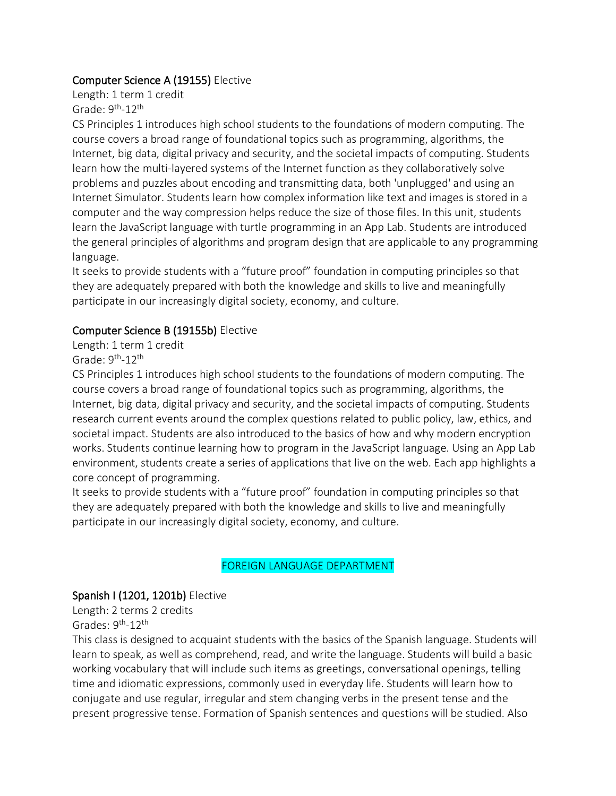#### Computer Science A (19155) Elective

Length: 1 term 1 credit Grade: 9<sup>th</sup>-12<sup>th</sup>

CS Principles 1 introduces high school students to the foundations of modern computing. The course covers a broad range of foundational topics such as programming, algorithms, the Internet, big data, digital privacy and security, and the societal impacts of computing. Students learn how the multi-layered systems of the Internet function as they collaboratively solve problems and puzzles about encoding and transmitting data, both 'unplugged' and using an Internet Simulator. Students learn how complex information like text and images is stored in a computer and the way compression helps reduce the size of those files. In this unit, students learn the JavaScript language with turtle programming in an App Lab. Students are introduced the general principles of algorithms and program design that are applicable to any programming language.

It seeks to provide students with a "future proof" foundation in computing principles so that they are adequately prepared with both the knowledge and skills to live and meaningfully participate in our increasingly digital society, economy, and culture.

#### Computer Science B (19155b) Elective

Length: 1 term 1 credit Grade: 9<sup>th</sup>-12<sup>th</sup>

CS Principles 1 introduces high school students to the foundations of modern computing. The course covers a broad range of foundational topics such as programming, algorithms, the Internet, big data, digital privacy and security, and the societal impacts of computing. Students research current events around the complex questions related to public policy, law, ethics, and societal impact. Students are also introduced to the basics of how and why modern encryption works. Students continue learning how to program in the JavaScript language. Using an App Lab environment, students create a series of applications that live on the web. Each app highlights a core concept of programming.

It seeks to provide students with a "future proof" foundation in computing principles so that they are adequately prepared with both the knowledge and skills to live and meaningfully participate in our increasingly digital society, economy, and culture.

#### FOREIGN LANGUAGE DEPARTMENT

#### Spanish I (1201, 1201b) Elective

Length: 2 terms 2 credits Grades: 9<sup>th</sup>-12<sup>th</sup>

This class is designed to acquaint students with the basics of the Spanish language. Students will learn to speak, as well as comprehend, read, and write the language. Students will build a basic working vocabulary that will include such items as greetings, conversational openings, telling time and idiomatic expressions, commonly used in everyday life. Students will learn how to conjugate and use regular, irregular and stem changing verbs in the present tense and the present progressive tense. Formation of Spanish sentences and questions will be studied. Also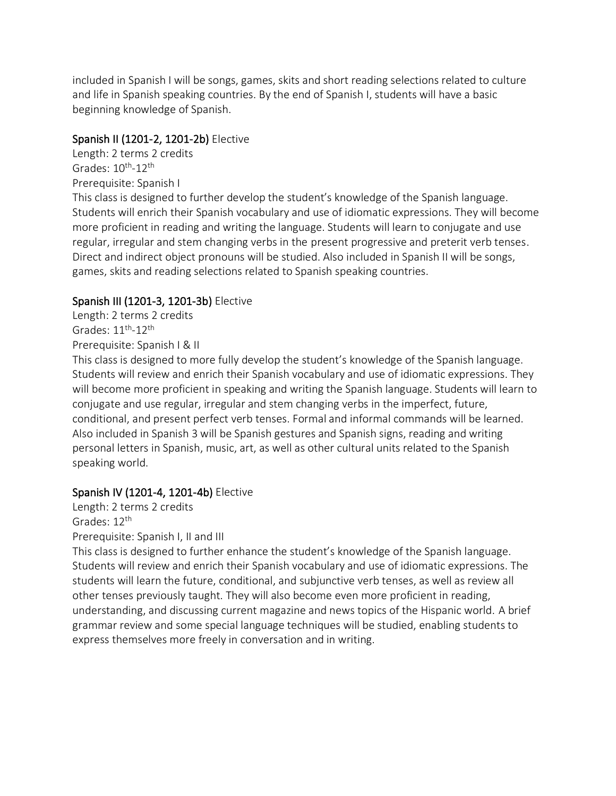included in Spanish I will be songs, games, skits and short reading selections related to culture and life in Spanish speaking countries. By the end of Spanish I, students will have a basic beginning knowledge of Spanish.

### Spanish II (1201-2, 1201-2b) Elective

Length: 2 terms 2 credits Grades: 10<sup>th</sup>-12<sup>th</sup> Prerequisite: Spanish I

This class is designed to further develop the student's knowledge of the Spanish language. Students will enrich their Spanish vocabulary and use of idiomatic expressions. They will become more proficient in reading and writing the language. Students will learn to conjugate and use regular, irregular and stem changing verbs in the present progressive and preterit verb tenses. Direct and indirect object pronouns will be studied. Also included in Spanish II will be songs, games, skits and reading selections related to Spanish speaking countries.

# Spanish III (1201-3, 1201-3b) Elective

Length: 2 terms 2 credits Grades:  $11^{\text{th}}$ - $12^{\text{th}}$ Prerequisite: Spanish I & II

This class is designed to more fully develop the student's knowledge of the Spanish language. Students will review and enrich their Spanish vocabulary and use of idiomatic expressions. They will become more proficient in speaking and writing the Spanish language. Students will learn to conjugate and use regular, irregular and stem changing verbs in the imperfect, future, conditional, and present perfect verb tenses. Formal and informal commands will be learned. Also included in Spanish 3 will be Spanish gestures and Spanish signs, reading and writing personal letters in Spanish, music, art, as well as other cultural units related to the Spanish speaking world.

# Spanish IV (1201-4, 1201-4b) Elective

Length: 2 terms 2 credits Grades: 12<sup>th</sup> Prerequisite: Spanish I, II and III

This class is designed to further enhance the student's knowledge of the Spanish language. Students will review and enrich their Spanish vocabulary and use of idiomatic expressions. The students will learn the future, conditional, and subjunctive verb tenses, as well as review all other tenses previously taught. They will also become even more proficient in reading, understanding, and discussing current magazine and news topics of the Hispanic world. A brief grammar review and some special language techniques will be studied, enabling students to express themselves more freely in conversation and in writing.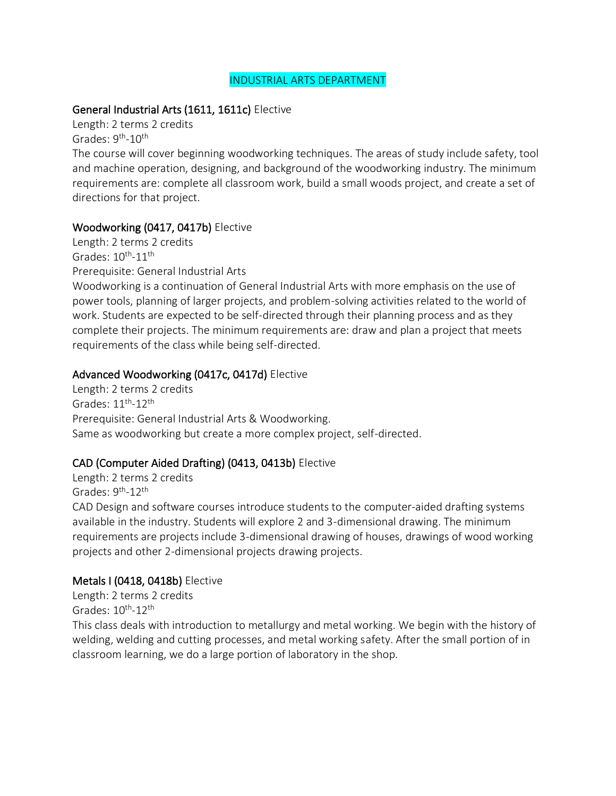#### INDUSTRIAL ARTS DEPARTMENT

#### General Industrial Arts (1611, 1611c) Elective

Length: 2 terms 2 credits Grades: 9<sup>th</sup>-10<sup>th</sup>

The course will cover beginning woodworking techniques. The areas of study include safety, tool and machine operation, designing, and background of the woodworking industry. The minimum requirements are: complete all classroom work, build a small woods project, and create a set of directions for that project.

### Woodworking (0417, 0417b) Elective

Length: 2 terms 2 credits Grades:  $10^{\text{th}}$ - $11^{\text{th}}$ Prerequisite: General Industrial Arts

Woodworking is a continuation of General Industrial Arts with more emphasis on the use of power tools, planning of larger projects, and problem-solving activities related to the world of work. Students are expected to be self-directed through their planning process and as they complete their projects. The minimum requirements are: draw and plan a project that meets requirements of the class while being self-directed.

### Advanced Woodworking (0417c, 0417d) Elective

Length: 2 terms 2 credits Grades: 11th -12th Prerequisite: General Industrial Arts & Woodworking. Same as woodworking but create a more complex project, self-directed.

# CAD (Computer Aided Drafting) (0413, 0413b) Elective

Length: 2 terms 2 credits Grades: 9<sup>th</sup>-12<sup>th</sup>

CAD Design and software courses introduce students to the computer-aided drafting systems available in the industry. Students will explore 2 and 3-dimensional drawing. The minimum requirements are projects include 3-dimensional drawing of houses, drawings of wood working projects and other 2-dimensional projects drawing projects.

#### Metals I (0418, 0418b) Elective

Length: 2 terms 2 credits Grades: 10<sup>th</sup>-12<sup>th</sup>

This class deals with introduction to metallurgy and metal working. We begin with the history of welding, welding and cutting processes, and metal working safety. After the small portion of in classroom learning, we do a large portion of laboratory in the shop.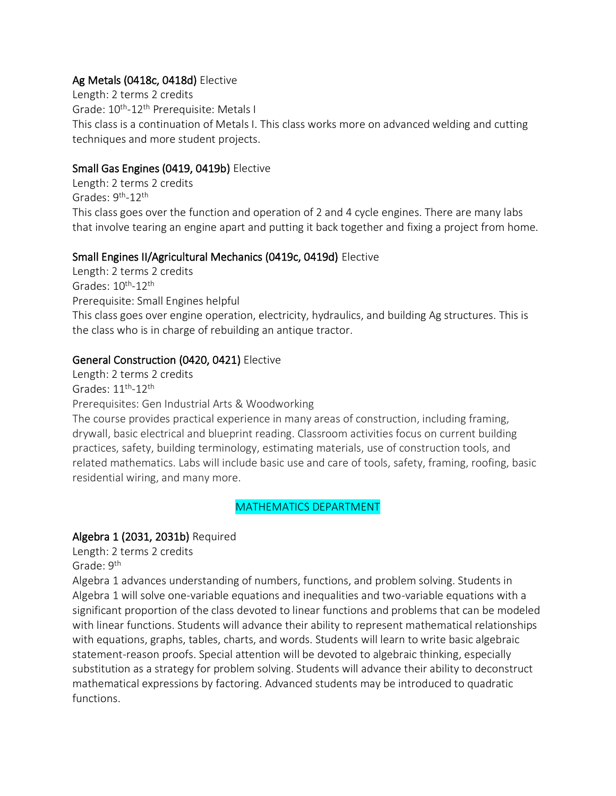### Ag Metals (0418c, 0418d) Elective

Length: 2 terms 2 credits Grade: 10<sup>th</sup>-12<sup>th</sup> Prerequisite: Metals I This class is a continuation of Metals I. This class works more on advanced welding and cutting techniques and more student projects.

### Small Gas Engines (0419, 0419b) Elective

Length: 2 terms 2 credits Grades: 9<sup>th</sup>-12<sup>th</sup> This class goes over the function and operation of 2 and 4 cycle engines. There are many labs that involve tearing an engine apart and putting it back together and fixing a project from home.

#### Small Engines II/Agricultural Mechanics (0419c, 0419d) Elective

Length: 2 terms 2 credits Grades: 10<sup>th</sup>-12<sup>th</sup> Prerequisite: Small Engines helpful This class goes over engine operation, electricity, hydraulics, and building Ag structures. This is the class who is in charge of rebuilding an antique tractor.

### General Construction (0420, 0421) Elective

Length: 2 terms 2 credits Grades:  $11^{\text{th}}$ - $12^{\text{th}}$ 

Prerequisites: Gen Industrial Arts & Woodworking

The course provides practical experience in many areas of construction, including framing, drywall, basic electrical and blueprint reading. Classroom activities focus on current building practices, safety, building terminology, estimating materials, use of construction tools, and related mathematics. Labs will include basic use and care of tools, safety, framing, roofing, basic residential wiring, and many more.

#### MATHEMATICS DEPARTMENT

# Algebra 1 (2031, 2031b) Required

Length: 2 terms 2 credits

Grade: 9<sup>th</sup>

Algebra 1 advances understanding of numbers, functions, and problem solving. Students in Algebra 1 will solve one-variable equations and inequalities and two-variable equations with a significant proportion of the class devoted to linear functions and problems that can be modeled with linear functions. Students will advance their ability to represent mathematical relationships with equations, graphs, tables, charts, and words. Students will learn to write basic algebraic statement-reason proofs. Special attention will be devoted to algebraic thinking, especially substitution as a strategy for problem solving. Students will advance their ability to deconstruct mathematical expressions by factoring. Advanced students may be introduced to quadratic functions.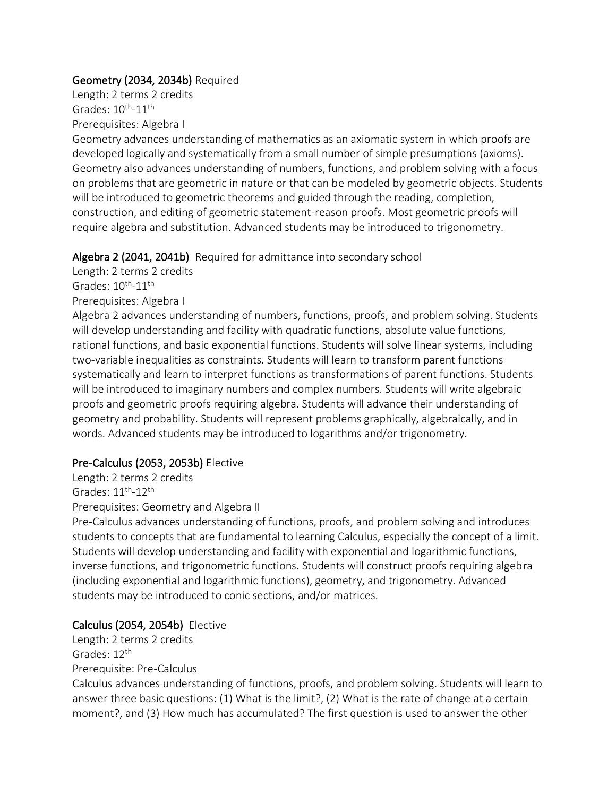#### Geometry (2034, 2034b) Required

Length: 2 terms 2 credits Grades:  $10^{\text{th}}$ - $11^{\text{th}}$ Prerequisites: Algebra I

Geometry advances understanding of mathematics as an axiomatic system in which proofs are developed logically and systematically from a small number of simple presumptions (axioms). Geometry also advances understanding of numbers, functions, and problem solving with a focus on problems that are geometric in nature or that can be modeled by geometric objects. Students will be introduced to geometric theorems and guided through the reading, completion, construction, and editing of geometric statement-reason proofs. Most geometric proofs will require algebra and substitution. Advanced students may be introduced to trigonometry.

Algebra 2 (2041, 2041b) Required for admittance into secondary school

Length: 2 terms 2 credits

Grades:  $10^{\text{th}}$ - $11^{\text{th}}$ 

Prerequisites: Algebra I

Algebra 2 advances understanding of numbers, functions, proofs, and problem solving. Students will develop understanding and facility with quadratic functions, absolute value functions, rational functions, and basic exponential functions. Students will solve linear systems, including two-variable inequalities as constraints. Students will learn to transform parent functions systematically and learn to interpret functions as transformations of parent functions. Students will be introduced to imaginary numbers and complex numbers. Students will write algebraic proofs and geometric proofs requiring algebra. Students will advance their understanding of geometry and probability. Students will represent problems graphically, algebraically, and in words. Advanced students may be introduced to logarithms and/or trigonometry.

# Pre-Calculus (2053, 2053b) Elective

Length: 2 terms 2 credits Grades: 11th -12th

Prerequisites: Geometry and Algebra II

Pre-Calculus advances understanding of functions, proofs, and problem solving and introduces students to concepts that are fundamental to learning Calculus, especially the concept of a limit. Students will develop understanding and facility with exponential and logarithmic functions, inverse functions, and trigonometric functions. Students will construct proofs requiring algebra (including exponential and logarithmic functions), geometry, and trigonometry. Advanced students may be introduced to conic sections, and/or matrices.

# Calculus (2054, 2054b) Elective

Length: 2 terms 2 credits Grades: 12<sup>th</sup> Prerequisite: Pre-Calculus

Calculus advances understanding of functions, proofs, and problem solving. Students will learn to answer three basic questions: (1) What is the limit?, (2) What is the rate of change at a certain moment?, and (3) How much has accumulated? The first question is used to answer the other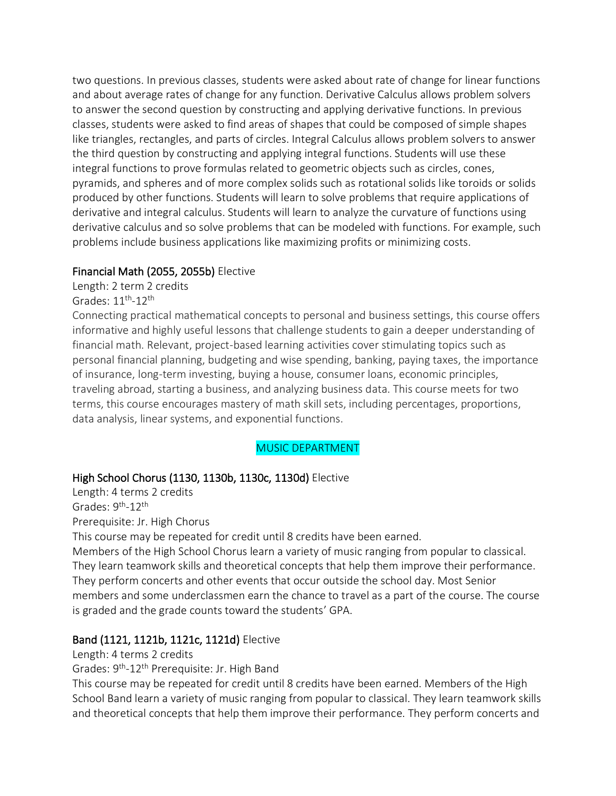two questions. In previous classes, students were asked about rate of change for linear functions and about average rates of change for any function. Derivative Calculus allows problem solvers to answer the second question by constructing and applying derivative functions. In previous classes, students were asked to find areas of shapes that could be composed of simple shapes like triangles, rectangles, and parts of circles. Integral Calculus allows problem solvers to answer the third question by constructing and applying integral functions. Students will use these integral functions to prove formulas related to geometric objects such as circles, cones, pyramids, and spheres and of more complex solids such as rotational solids like toroids or solids produced by other functions. Students will learn to solve problems that require applications of derivative and integral calculus. Students will learn to analyze the curvature of functions using derivative calculus and so solve problems that can be modeled with functions. For example, such problems include business applications like maximizing profits or minimizing costs.

#### Financial Math (2055, 2055b) Elective

Length: 2 term 2 credits Grades:  $11^{\text{th}}$ - $12^{\text{th}}$ 

Connecting practical mathematical concepts to personal and business settings, this course offers informative and highly useful lessons that challenge students to gain a deeper understanding of financial math. Relevant, project-based learning activities cover stimulating topics such as personal financial planning, budgeting and wise spending, banking, paying taxes, the importance of insurance, long-term investing, buying a house, consumer loans, economic principles, traveling abroad, starting a business, and analyzing business data. This course meets for two terms, this course encourages mastery of math skill sets, including percentages, proportions, data analysis, linear systems, and exponential functions.

# MUSIC DEPARTMENT

#### High School Chorus (1130, 1130b, 1130c, 1130d) Elective

Length: 4 terms 2 credits Grades: 9<sup>th</sup>-12<sup>th</sup> Prerequisite: Jr. High Chorus

This course may be repeated for credit until 8 credits have been earned.

Members of the High School Chorus learn a variety of music ranging from popular to classical. They learn teamwork skills and theoretical concepts that help them improve their performance. They perform concerts and other events that occur outside the school day. Most Senior members and some underclassmen earn the chance to travel as a part of the course. The course is graded and the grade counts toward the students' GPA.

#### Band (1121, 1121b, 1121c, 1121d) Elective

#### Length: 4 terms 2 credits

Grades: 9<sup>th</sup>-12<sup>th</sup> Prerequisite: Jr. High Band

This course may be repeated for credit until 8 credits have been earned. Members of the High School Band learn a variety of music ranging from popular to classical. They learn teamwork skills and theoretical concepts that help them improve their performance. They perform concerts and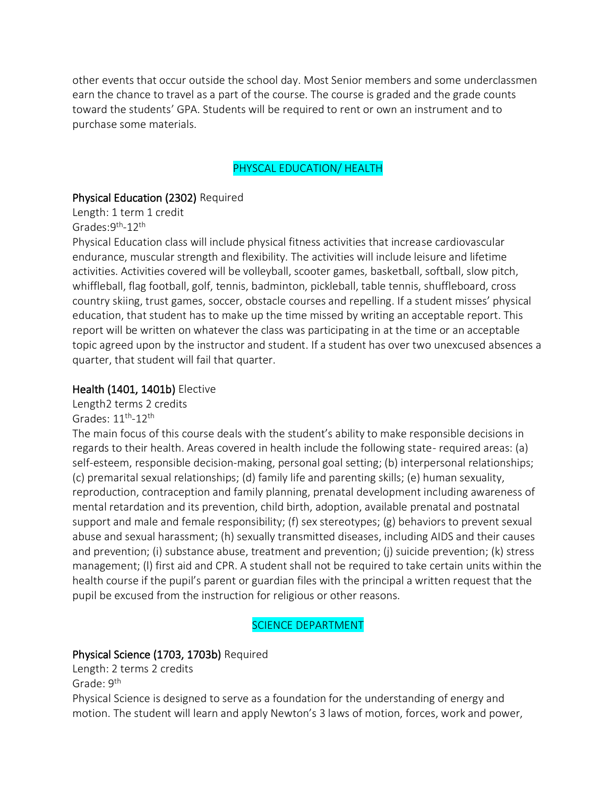other events that occur outside the school day. Most Senior members and some underclassmen earn the chance to travel as a part of the course. The course is graded and the grade counts toward the students' GPA. Students will be required to rent or own an instrument and to purchase some materials.

#### PHYSCAL EDUCATION/ HEALTH

#### Physical Education (2302) Required

Length: 1 term 1 credit Grades: 9<sup>th</sup>-12<sup>th</sup>

Physical Education class will include physical fitness activities that increase cardiovascular endurance, muscular strength and flexibility. The activities will include leisure and lifetime activities. Activities covered will be volleyball, scooter games, basketball, softball, slow pitch, whiffleball, flag football, golf, tennis, badminton, pickleball, table tennis, shuffleboard, cross country skiing, trust games, soccer, obstacle courses and repelling. If a student misses' physical education, that student has to make up the time missed by writing an acceptable report. This report will be written on whatever the class was participating in at the time or an acceptable topic agreed upon by the instructor and student. If a student has over two unexcused absences a quarter, that student will fail that quarter.

#### Health (1401, 1401b) Elective

Length2 terms 2 credits Grades:  $11^{\text{th}}$ - $12^{\text{th}}$ 

The main focus of this course deals with the student's ability to make responsible decisions in regards to their health. Areas covered in health include the following state- required areas: (a) self-esteem, responsible decision-making, personal goal setting; (b) interpersonal relationships; (c) premarital sexual relationships; (d) family life and parenting skills; (e) human sexuality, reproduction, contraception and family planning, prenatal development including awareness of mental retardation and its prevention, child birth, adoption, available prenatal and postnatal support and male and female responsibility; (f) sex stereotypes; (g) behaviors to prevent sexual abuse and sexual harassment; (h) sexually transmitted diseases, including AIDS and their causes and prevention; (i) substance abuse, treatment and prevention; (j) suicide prevention; (k) stress management; (l) first aid and CPR. A student shall not be required to take certain units within the health course if the pupil's parent or guardian files with the principal a written request that the pupil be excused from the instruction for religious or other reasons.

#### SCIENCE DEPARTMENT

#### Physical Science (1703, 1703b) Required

Length: 2 terms 2 credits Grade: 9<sup>th</sup>

Physical Science is designed to serve as a foundation for the understanding of energy and motion. The student will learn and apply Newton's 3 laws of motion, forces, work and power,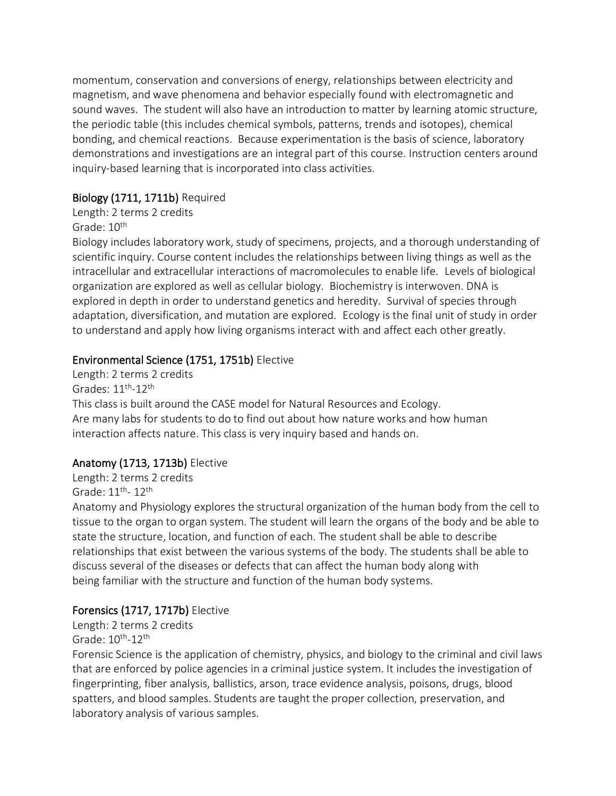momentum, conservation and conversions of energy, relationships between electricity and magnetism, and wave phenomena and behavior especially found with electromagnetic and sound waves. The student will also have an introduction to matter by learning atomic structure, the periodic table (this includes chemical symbols, patterns, trends and isotopes), chemical bonding, and chemical reactions. Because experimentation is the basis of science, laboratory demonstrations and investigations are an integral part of this course. Instruction centers around inquiry-based learning that is incorporated into class activities.

### Biology (1711, 1711b) Required

Length: 2 terms 2 credits

Grade: 10<sup>th</sup>

Biology includes laboratory work, study of specimens, projects, and a thorough understanding of scientific inquiry. Course content includes the relationships between living things as well as the intracellular and extracellular interactions of macromolecules to enable life. Levels of biological organization are explored as well as cellular biology. Biochemistry is interwoven. DNA is explored in depth in order to understand genetics and heredity. Survival of species through adaptation, diversification, and mutation are explored. Ecology is the final unit of study in order to understand and apply how living organisms interact with and affect each other greatly.

# Environmental Science (1751, 1751b) Elective

Length: 2 terms 2 credits Grades:  $11^{\text{th}}$ - $12^{\text{th}}$ This class is built around the CASE model for Natural Resources and Ecology. Are many labs for students to do to find out about how nature works and how human interaction affects nature. This class is very inquiry based and hands on.

# Anatomy (1713, 1713b) Elective

Length: 2 terms 2 credits Grade: 11<sup>th</sup>- 12<sup>th</sup>

Anatomy and Physiology explores the structural organization of the human body from the cell to tissue to the organ to organ system. The student will learn the organs of the body and be able to state the structure, location, and function of each. The student shall be able to describe relationships that exist between the various systems of the body. The students shall be able to discuss several of the diseases or defects that can affect the human body along with being familiar with the structure and function of the human body systems.

# Forensics (1717, 1717b) Elective

Length: 2 terms 2 credits Grade: 10<sup>th</sup>-12<sup>th</sup>

Forensic Science is the application of chemistry, physics, and biology to the criminal and civil laws that are enforced by police agencies in a criminal justice system. It includes the investigation of fingerprinting, fiber analysis, ballistics, arson, trace evidence analysis, poisons, drugs, blood spatters, and blood samples. Students are taught the proper collection, preservation, and laboratory analysis of various samples.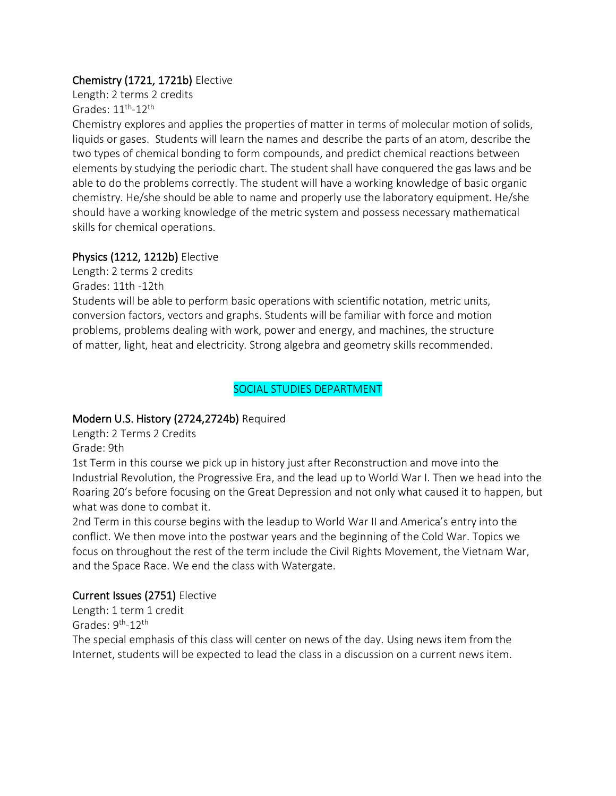#### Chemistry (1721, 1721b) Elective

Length: 2 terms 2 credits Grades:  $11^{\text{th}}$ - $12^{\text{th}}$ 

Chemistry explores and applies the properties of matter in terms of molecular motion of solids, liquids or gases. Students will learn the names and describe the parts of an atom, describe the two types of chemical bonding to form compounds, and predict chemical reactions between elements by studying the periodic chart. The student shall have conquered the gas laws and be able to do the problems correctly. The student will have a working knowledge of basic organic chemistry. He/she should be able to name and properly use the laboratory equipment. He/she should have a working knowledge of the metric system and possess necessary mathematical skills for chemical operations.

### Physics (1212, 1212b) Elective

Length: 2 terms 2 credits Grades: 11th -12th

Students will be able to perform basic operations with scientific notation, metric units, conversion factors, vectors and graphs. Students will be familiar with force and motion problems, problems dealing with work, power and energy, and machines, the structure of matter, light, heat and electricity. Strong algebra and geometry skills recommended.

# SOCIAL STUDIES DEPARTMENT

# Modern U.S. History (2724,2724b) Required

Length: 2 Terms 2 Credits

Grade: 9th

1st Term in this course we pick up in history just after Reconstruction and move into the Industrial Revolution, the Progressive Era, and the lead up to World War I. Then we head into the Roaring 20's before focusing on the Great Depression and not only what caused it to happen, but what was done to combat it.

2nd Term in this course begins with the leadup to World War II and America's entry into the conflict. We then move into the postwar years and the beginning of the Cold War. Topics we focus on throughout the rest of the term include the Civil Rights Movement, the Vietnam War, and the Space Race. We end the class with Watergate.

# Current Issues (2751) Elective

Length: 1 term 1 credit Grades: 9<sup>th</sup>-12<sup>th</sup>

The special emphasis of this class will center on news of the day. Using news item from the Internet, students will be expected to lead the class in a discussion on a current news item.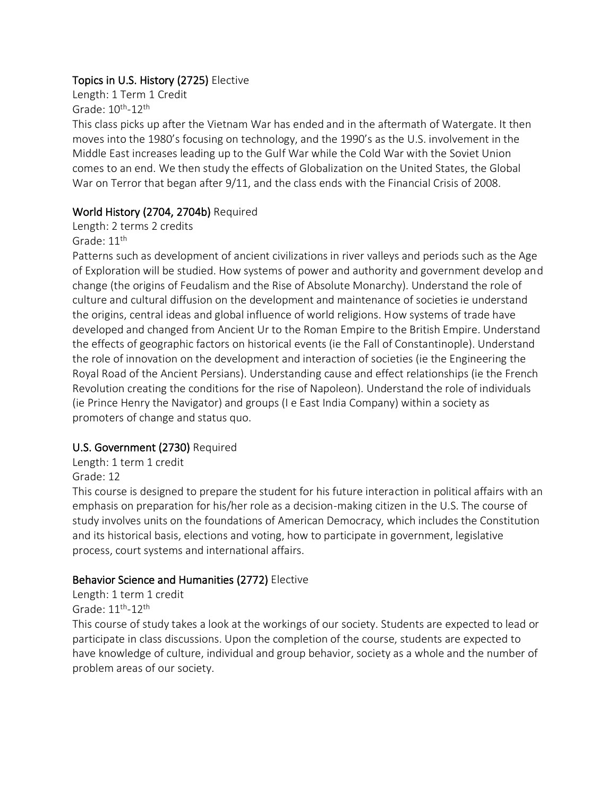### Topics in U.S. History (2725) Elective

Length: 1 Term 1 Credit Grade: 10<sup>th</sup>-12<sup>th</sup>

This class picks up after the Vietnam War has ended and in the aftermath of Watergate. It then moves into the 1980's focusing on technology, and the 1990's as the U.S. involvement in the Middle East increases leading up to the Gulf War while the Cold War with the Soviet Union comes to an end. We then study the effects of Globalization on the United States, the Global War on Terror that began after 9/11, and the class ends with the Financial Crisis of 2008.

### World History (2704, 2704b) Required

Length: 2 terms 2 credits

Grade: 11<sup>th</sup>

Patterns such as development of ancient civilizations in river valleys and periods such as the Age of Exploration will be studied. How systems of power and authority and government develop and change (the origins of Feudalism and the Rise of Absolute Monarchy). Understand the role of culture and cultural diffusion on the development and maintenance of societies ie understand the origins, central ideas and global influence of world religions. How systems of trade have developed and changed from Ancient Ur to the Roman Empire to the British Empire. Understand the effects of geographic factors on historical events (ie the Fall of Constantinople). Understand the role of innovation on the development and interaction of societies (ie the Engineering the Royal Road of the Ancient Persians). Understanding cause and effect relationships (ie the French Revolution creating the conditions for the rise of Napoleon). Understand the role of individuals (ie Prince Henry the Navigator) and groups (I e East India Company) within a society as promoters of change and status quo.

# U.S. Government (2730) Required

Length: 1 term 1 credit

Grade: 12

This course is designed to prepare the student for his future interaction in political affairs with an emphasis on preparation for his/her role as a decision-making citizen in the U.S. The course of study involves units on the foundations of American Democracy, which includes the Constitution and its historical basis, elections and voting, how to participate in government, legislative process, court systems and international affairs.

# Behavior Science and Humanities (2772) Elective

Length: 1 term 1 credit Grade: 11<sup>th</sup>-12<sup>th</sup>

This course of study takes a look at the workings of our society. Students are expected to lead or participate in class discussions. Upon the completion of the course, students are expected to have knowledge of culture, individual and group behavior, society as a whole and the number of problem areas of our society.